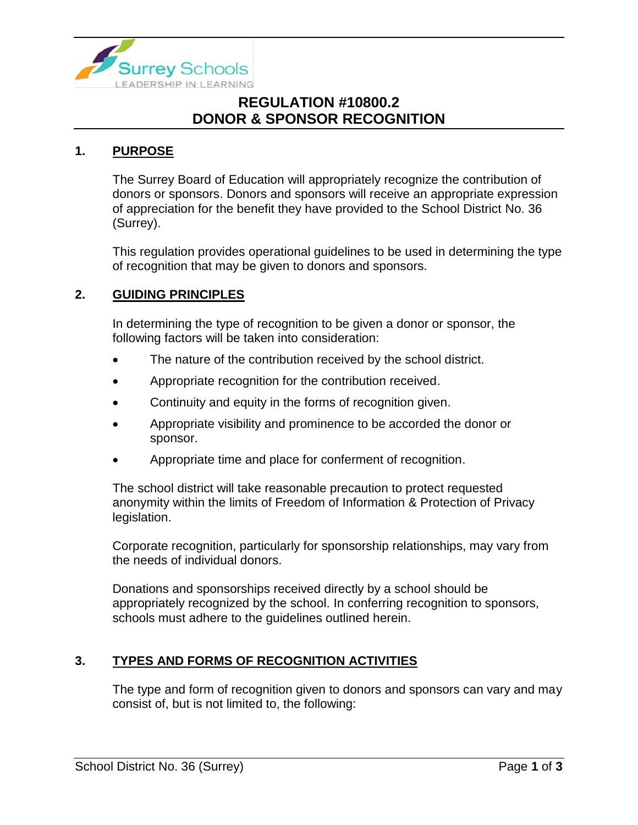

# **REGULATION #10800.2 DONOR & SPONSOR RECOGNITION**

### **1. PURPOSE**

The Surrey Board of Education will appropriately recognize the contribution of donors or sponsors. Donors and sponsors will receive an appropriate expression of appreciation for the benefit they have provided to the School District No. 36 (Surrey).

This regulation provides operational guidelines to be used in determining the type of recognition that may be given to donors and sponsors.

### **2. GUIDING PRINCIPLES**

In determining the type of recognition to be given a donor or sponsor, the following factors will be taken into consideration:

- The nature of the contribution received by the school district.
- Appropriate recognition for the contribution received.
- Continuity and equity in the forms of recognition given.
- Appropriate visibility and prominence to be accorded the donor or sponsor.
- Appropriate time and place for conferment of recognition.

The school district will take reasonable precaution to protect requested anonymity within the limits of Freedom of Information & Protection of Privacy legislation.

Corporate recognition, particularly for sponsorship relationships, may vary from the needs of individual donors.

Donations and sponsorships received directly by a school should be appropriately recognized by the school. In conferring recognition to sponsors, schools must adhere to the guidelines outlined herein.

## **3. TYPES AND FORMS OF RECOGNITION ACTIVITIES**

The type and form of recognition given to donors and sponsors can vary and may consist of, but is not limited to, the following: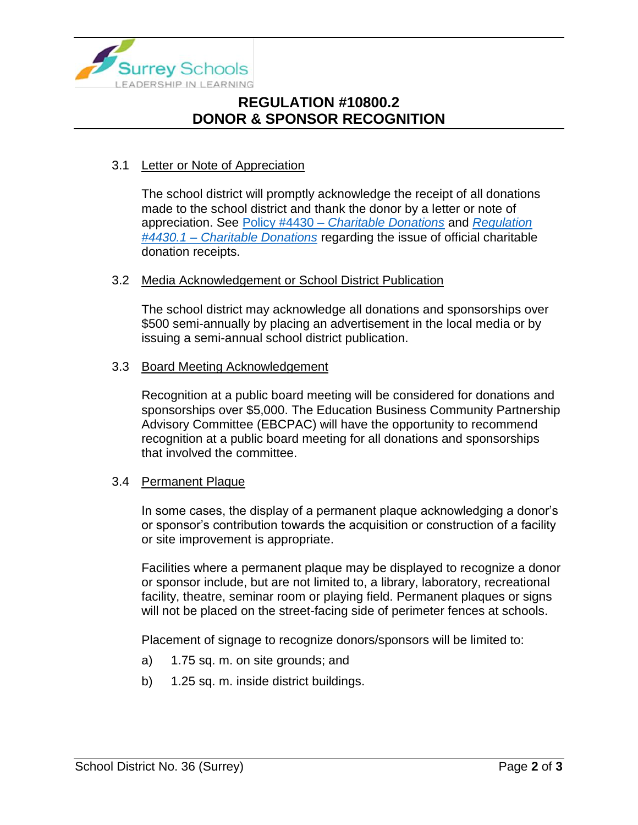

# **REGULATION #10800.2 DONOR & SPONSOR RECOGNITION**

## 3.1 Letter or Note of Appreciation

The school district will promptly acknowledge the receipt of all donations made to the school district and thank the donor by a letter or note of appreciation. See Policy #4430 – *[Charitable Donations](https://www.surreyschools.ca/departments/SECT/PoliciesRegulations/section_4000/Documents/4430%20Policy.pdf)* and *[Regulation](https://www.surreyschools.ca/departments/SECT/PoliciesRegulations/section_4000/Documents/4430.1%20Regulation.pdf)  #4430.1 – [Charitable Donations](https://www.surreyschools.ca/departments/SECT/PoliciesRegulations/section_4000/Documents/4430.1%20Regulation.pdf)* regarding the issue of official charitable donation receipts.

#### 3.2 Media Acknowledgement or School District Publication

The school district may acknowledge all donations and sponsorships over \$500 semi-annually by placing an advertisement in the local media or by issuing a semi-annual school district publication.

#### 3.3 Board Meeting Acknowledgement

Recognition at a public board meeting will be considered for donations and sponsorships over \$5,000. The Education Business Community Partnership Advisory Committee (EBCPAC) will have the opportunity to recommend recognition at a public board meeting for all donations and sponsorships that involved the committee.

#### 3.4 Permanent Plaque

In some cases, the display of a permanent plaque acknowledging a donor's or sponsor's contribution towards the acquisition or construction of a facility or site improvement is appropriate.

Facilities where a permanent plaque may be displayed to recognize a donor or sponsor include, but are not limited to, a library, laboratory, recreational facility, theatre, seminar room or playing field. Permanent plaques or signs will not be placed on the street-facing side of perimeter fences at schools.

Placement of signage to recognize donors/sponsors will be limited to:

- a) 1.75 sq. m. on site grounds; and
- b) 1.25 sq. m. inside district buildings.